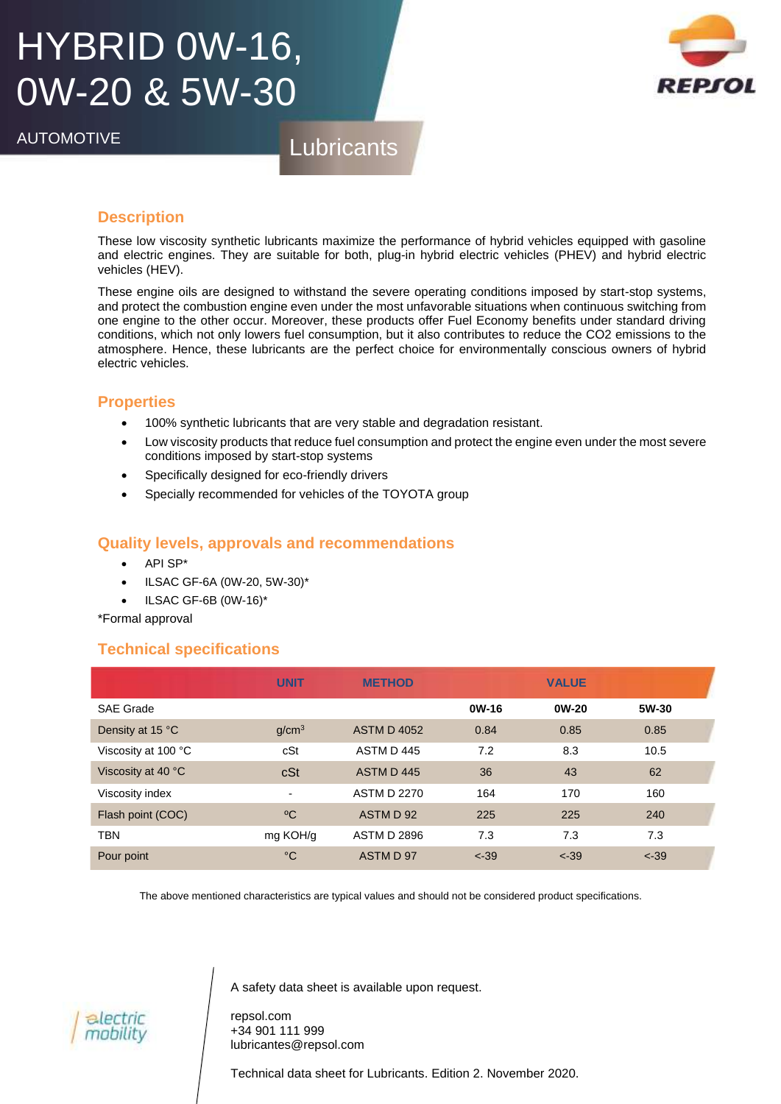## HYBRID 0W-16, 0W-20 & 5W-30

AUTOMOTIVE Lubricants

# RFProi

## **Description**

These low viscosity synthetic lubricants maximize the performance of hybrid vehicles equipped with gasoline and electric engines. They are suitable for both, plug-in hybrid electric vehicles (PHEV) and hybrid electric vehicles (HEV).

These engine oils are designed to withstand the severe operating conditions imposed by start-stop systems, and protect the combustion engine even under the most unfavorable situations when continuous switching from one engine to the other occur. Moreover, these products offer Fuel Economy benefits under standard driving conditions, which not only lowers fuel consumption, but it also contributes to reduce the CO2 emissions to the atmosphere. Hence, these lubricants are the perfect choice for environmentally conscious owners of hybrid electric vehicles.

## **Properties**

- 100% synthetic lubricants that are very stable and degradation resistant.
- Low viscosity products that reduce fuel consumption and protect the engine even under the most severe conditions imposed by start-stop systems
- Specifically designed for eco-friendly drivers
- Specially recommended for vehicles of the TOYOTA group

#### **Quality levels, approvals and recommendations**

- API SP\*
- ILSAC GF-6A (0W-20, 5W-30)\*
- ILSAC GF-6B (0W-16)\*

\*Formal approval

#### **Technical specifications**

|                             | <b>UNIT</b>       | <b>METHOD</b>      |         | <b>VALUE</b> |         |
|-----------------------------|-------------------|--------------------|---------|--------------|---------|
| <b>SAE Grade</b>            |                   |                    | 0W-16   | 0W-20        | 5W-30   |
| Density at 15 °C            | g/cm <sup>3</sup> | <b>ASTM D 4052</b> | 0.84    | 0.85         | 0.85    |
| Viscosity at 100 °C         | cSt               | ASTM D 445         | 7.2     | 8.3          | 10.5    |
| Viscosity at 40 $\degree$ C | cSt               | ASTM D 445         | 36      | 43           | 62      |
| Viscosity index             |                   | <b>ASTM D 2270</b> | 164     | 170          | 160     |
| Flash point (COC)           | $^{\circ}$ C      | ASTM D 92          | 225     | 225          | 240     |
| <b>TBN</b>                  | mg KOH/g          | <b>ASTM D 2896</b> | 7.3     | 7.3          | 7.3     |
| Pour point                  | °C                | ASTM D 97          | $< -39$ | $< -39$      | $< -39$ |

The above mentioned characteristics are typical values and should not be considered product specifications.

A safety data sheet is available upon request.

repsol.com +34 901 111 999 lubricantes@repsol.com

Technical data sheet for Lubricants. Edition 2. November 2020.